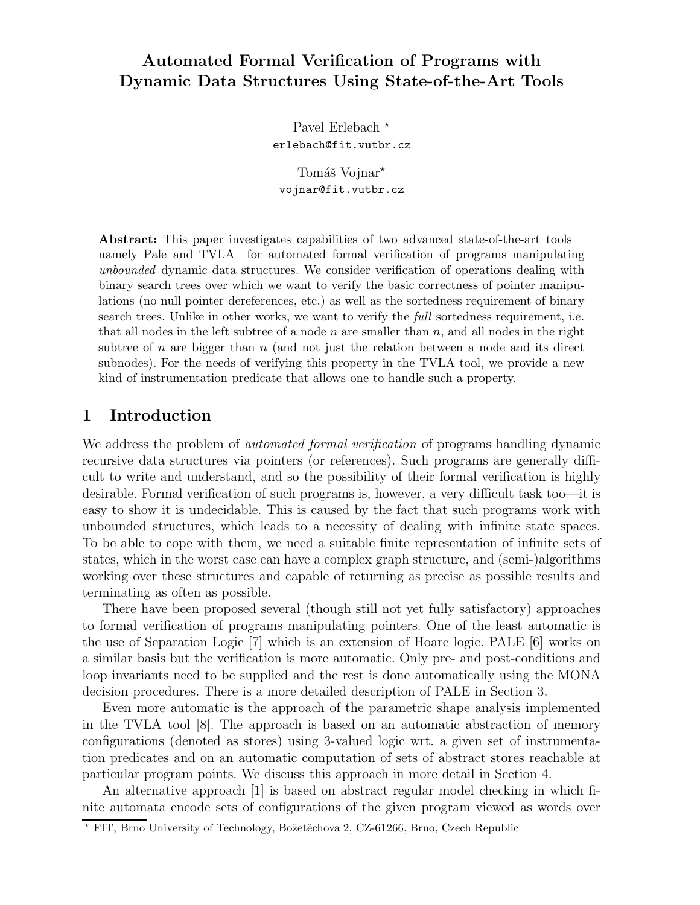# **Automated Formal Verification of Programs with Dynamic Data Structures Using State-of-the-Art Tools**

Pavel Erlebach<sup>\*</sup> erlebach@fit.vutbr.cz

Tomáš Vojnar<sup>\*</sup> vojnar@fit.vutbr.cz

**Abstract:** This paper investigates capabilities of two advanced state-of-the-art tools namely Pale and TVLA—for automated formal verification of programs manipulating *unbounded* dynamic data structures. We consider verification of operations dealing with binary search trees over which we want to verify the basic correctness of pointer manipulations (no null pointer dereferences, etc.) as well as the sortedness requirement of binary search trees. Unlike in other works, we want to verify the *full* sortedness requirement, i.e. that all nodes in the left subtree of a node *n* are smaller than *n*, and all nodes in the right subtree of *n* are bigger than *n* (and not just the relation between a node and its direct subnodes). For the needs of verifying this property in the TVLA tool, we provide a new kind of instrumentation predicate that allows one to handle such a property.

### **1 Introduction**

We address the problem of *automated formal verification* of programs handling dynamic recursive data structures via pointers (or references). Such programs are generally difficult to write and understand, and so the possibility of their formal verification is highly desirable. Formal verification of such programs is, however, a very difficult task too—it is easy to show it is undecidable. This is caused by the fact that such programs work with unbounded structures, which leads to a necessity of dealing with infinite state spaces. To be able to cope with them, we need a suitable finite representation of infinite sets of states, which in the worst case can have a complex graph structure, and (semi-)algorithms working over these structures and capable of returning as precise as possible results and terminating as often as possible.

There have been proposed several (though still not yet fully satisfactory) approaches to formal verification of programs manipulating pointers. One of the least automatic is the use of Separation Logic [7] which is an extension of Hoare logic. PALE [6] works on a similar basis but the verification is more automatic. Only pre- and post-conditions and loop invariants need to be supplied and the rest is done automatically using the MONA decision procedures. There is a more detailed description of PALE in Section 3.

Even more automatic is the approach of the parametric shape analysis implemented in the TVLA tool [8]. The approach is based on an automatic abstraction of memory configurations (denoted as stores) using 3-valued logic wrt. a given set of instrumentation predicates and on an automatic computation of sets of abstract stores reachable at particular program points. We discuss this approach in more detail in Section 4.

An alternative approach [1] is based on abstract regular model checking in which finite automata encode sets of configurations of the given program viewed as words over

<sup>\*</sup> FIT, Brno University of Technology, Božetěchova 2, CZ-61266, Brno, Czech Republic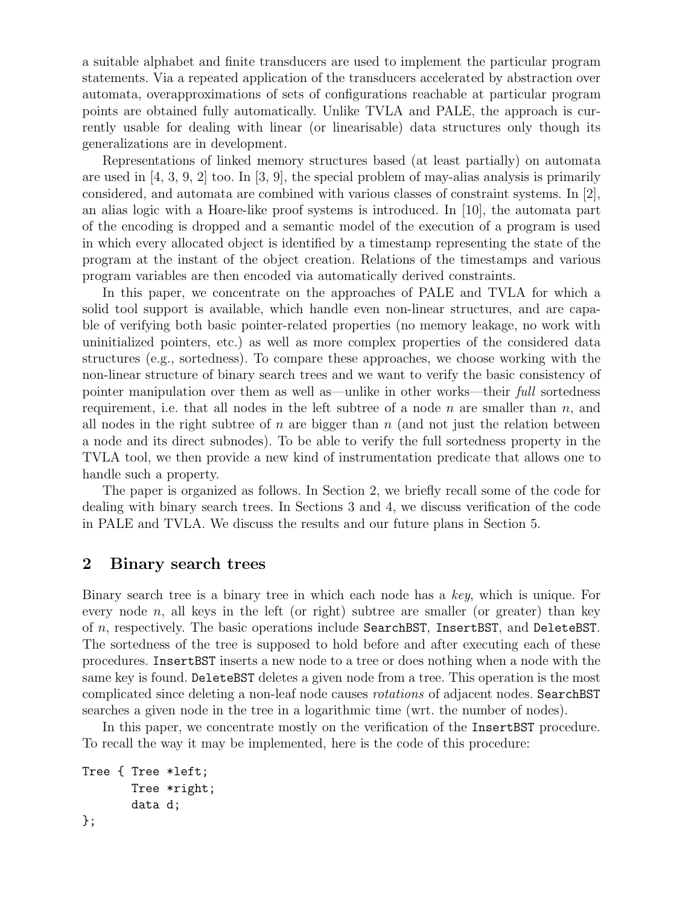a suitable alphabet and finite transducers are used to implement the particular program statements. Via a repeated application of the transducers accelerated by abstraction over automata, overapproximations of sets of configurations reachable at particular program points are obtained fully automatically. Unlike TVLA and PALE, the approach is currently usable for dealing with linear (or linearisable) data structures only though its generalizations are in development.

Representations of linked memory structures based (at least partially) on automata are used in  $[4, 3, 9, 2]$  too. In  $[3, 9]$ , the special problem of may-alias analysis is primarily considered, and automata are combined with various classes of constraint systems. In [2], an alias logic with a Hoare-like proof systems is introduced. In [10], the automata part of the encoding is dropped and a semantic model of the execution of a program is used in which every allocated object is identified by a timestamp representing the state of the program at the instant of the object creation. Relations of the timestamps and various program variables are then encoded via automatically derived constraints.

In this paper, we concentrate on the approaches of PALE and TVLA for which a solid tool support is available, which handle even non-linear structures, and are capable of verifying both basic pointer-related properties (no memory leakage, no work with uninitialized pointers, etc.) as well as more complex properties of the considered data structures (e.g., sortedness). To compare these approaches, we choose working with the non-linear structure of binary search trees and we want to verify the basic consistency of pointer manipulation over them as well as—unlike in other works—their *full* sortedness requirement, i.e. that all nodes in the left subtree of a node *n* are smaller than *n*, and all nodes in the right subtree of *n* are bigger than *n* (and not just the relation between a node and its direct subnodes). To be able to verify the full sortedness property in the TVLA tool, we then provide a new kind of instrumentation predicate that allows one to handle such a property.

The paper is organized as follows. In Section 2, we briefly recall some of the code for dealing with binary search trees. In Sections 3 and 4, we discuss verification of the code in PALE and TVLA. We discuss the results and our future plans in Section 5.

### **2 Binary search trees**

Binary search tree is a binary tree in which each node has a *key*, which is unique. For every node  $n$ , all keys in the left (or right) subtree are smaller (or greater) than key of *n*, respectively. The basic operations include SearchBST, InsertBST, and DeleteBST. The sortedness of the tree is supposed to hold before and after executing each of these procedures. InsertBST inserts a new node to a tree or does nothing when a node with the same key is found. DeleteBST deletes a given node from a tree. This operation is the most complicated since deleting a non-leaf node causes *rotations* of adjacent nodes. SearchBST searches a given node in the tree in a logarithmic time (wrt. the number of nodes).

In this paper, we concentrate mostly on the verification of the InsertBST procedure. To recall the way it may be implemented, here is the code of this procedure:

```
Tree { Tree *left;
       Tree *right;
       data d;
};
```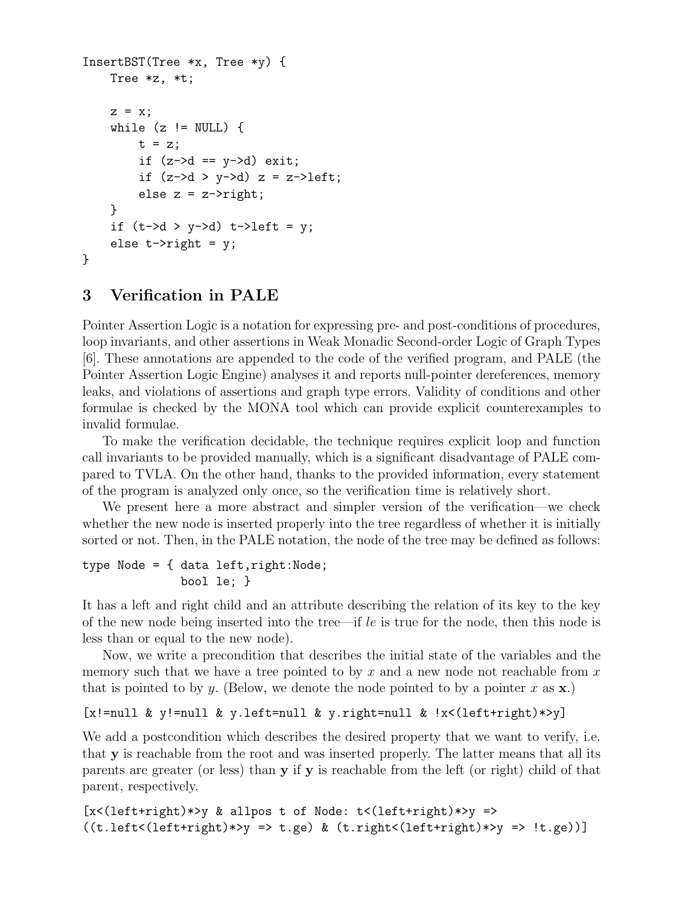```
InsertBST(Tree *x, Tree *y) {
     Tree *z, *t;
     z = x;while (z \neq 0 NULL) {
          t = z;if (z-\lambda d == y-\lambda d) exit;
          if (z-\lambda y - \lambda) z = z-\lambdaleft;
          else z = z->right;
     }
     if (t-\lambda d > y-\lambda d) t-\lambda eft = y;
     else t->right = y;
}
```
## **3 Verification in PALE**

Pointer Assertion Logic is a notation for expressing pre- and post-conditions of procedures, loop invariants, and other assertions in Weak Monadic Second-order Logic of Graph Types [6]. These annotations are appended to the code of the verified program, and PALE (the Pointer Assertion Logic Engine) analyses it and reports null-pointer dereferences, memory leaks, and violations of assertions and graph type errors. Validity of conditions and other formulae is checked by the MONA tool which can provide explicit counterexamples to invalid formulae.

To make the verification decidable, the technique requires explicit loop and function call invariants to be provided manually, which is a significant disadvantage of PALE compared to TVLA. On the other hand, thanks to the provided information, every statement of the program is analyzed only once, so the verification time is relatively short.

We present here a more abstract and simpler version of the verification—we check whether the new node is inserted properly into the tree regardless of whether it is initially sorted or not. Then, in the PALE notation, the node of the tree may be defined as follows:

```
type Node = { data left, right:Node;bool le; }
```
It has a left and right child and an attribute describing the relation of its key to the key of the new node being inserted into the tree—if *le* is true for the node, then this node is less than or equal to the new node).

Now, we write a precondition that describes the initial state of the variables and the memory such that we have a tree pointed to by *x* and a new node not reachable from *x* that is pointed to by *y*. (Below, we denote the node pointed to by a pointer *x* as **x**.)

```
[x! = null \& y! = null \& y. left = null \& y. right = null \& i <(left+right)*y]
```
We add a postcondition which describes the desired property that we want to verify, i.e. that **y** is reachable from the root and was inserted properly. The latter means that all its parents are greater (or less) than **y** if **y** is reachable from the left (or right) child of that parent, respectively.

[x<(left+right)\*>y & allpos t of Node: t<(left+right)\*>y => ((t.left<(left+right)\*>y => t.ge) & (t.right<(left+right)\*>y => !t.ge))]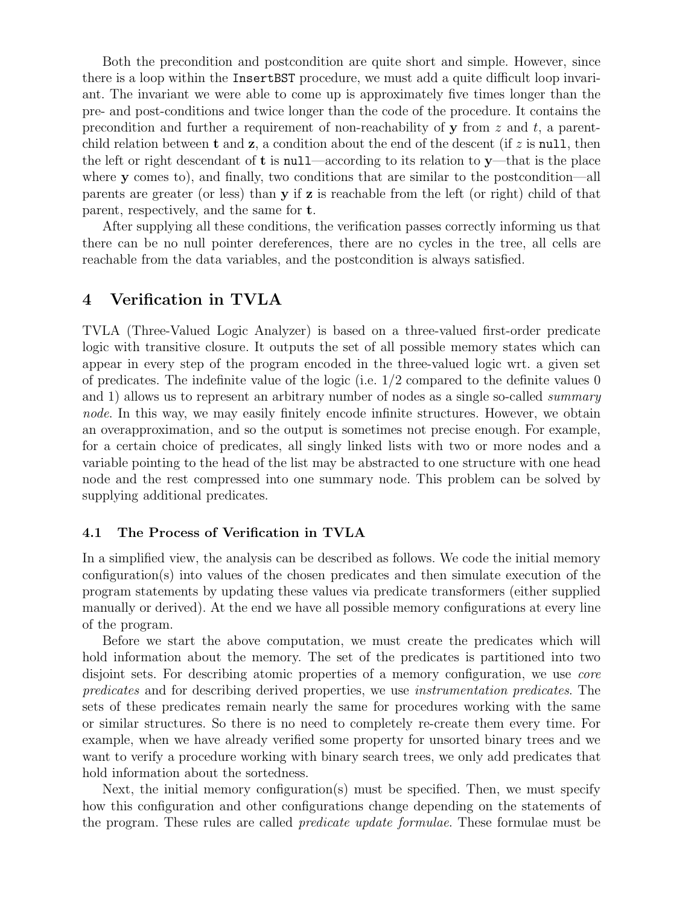Both the precondition and postcondition are quite short and simple. However, since there is a loop within the InsertBST procedure, we must add a quite difficult loop invariant. The invariant we were able to come up is approximately five times longer than the pre- and post-conditions and twice longer than the code of the procedure. It contains the precondition and further a requirement of non-reachability of **y** from *z* and *t*, a parentchild relation between **t** and **z**, a condition about the end of the descent (if  $z$  is **null**, then the left or right descendant of **t** is null—according to its relation to **y**—that is the place where **y** comes to), and finally, two conditions that are similar to the postcondition—all parents are greater (or less) than **y** if **z** is reachable from the left (or right) child of that parent, respectively, and the same for **t**.

After supplying all these conditions, the verification passes correctly informing us that there can be no null pointer dereferences, there are no cycles in the tree, all cells are reachable from the data variables, and the postcondition is always satisfied.

### **4 Verification in TVLA**

TVLA (Three-Valued Logic Analyzer) is based on a three-valued first-order predicate logic with transitive closure. It outputs the set of all possible memory states which can appear in every step of the program encoded in the three-valued logic wrt. a given set of predicates. The indefinite value of the logic (i.e. 1*/*2 compared to the definite values 0 and 1) allows us to represent an arbitrary number of nodes as a single so-called *summary node*. In this way, we may easily finitely encode infinite structures. However, we obtain an overapproximation, and so the output is sometimes not precise enough. For example, for a certain choice of predicates, all singly linked lists with two or more nodes and a variable pointing to the head of the list may be abstracted to one structure with one head node and the rest compressed into one summary node. This problem can be solved by supplying additional predicates.

#### **4.1 The Process of Verification in TVLA**

In a simplified view, the analysis can be described as follows. We code the initial memory configuration(s) into values of the chosen predicates and then simulate execution of the program statements by updating these values via predicate transformers (either supplied manually or derived). At the end we have all possible memory configurations at every line of the program.

Before we start the above computation, we must create the predicates which will hold information about the memory. The set of the predicates is partitioned into two disjoint sets. For describing atomic properties of a memory configuration, we use *core predicates* and for describing derived properties, we use *instrumentation predicates*. The sets of these predicates remain nearly the same for procedures working with the same or similar structures. So there is no need to completely re-create them every time. For example, when we have already verified some property for unsorted binary trees and we want to verify a procedure working with binary search trees, we only add predicates that hold information about the sortedness.

Next, the initial memory configuration(s) must be specified. Then, we must specify how this configuration and other configurations change depending on the statements of the program. These rules are called *predicate update formulae*. These formulae must be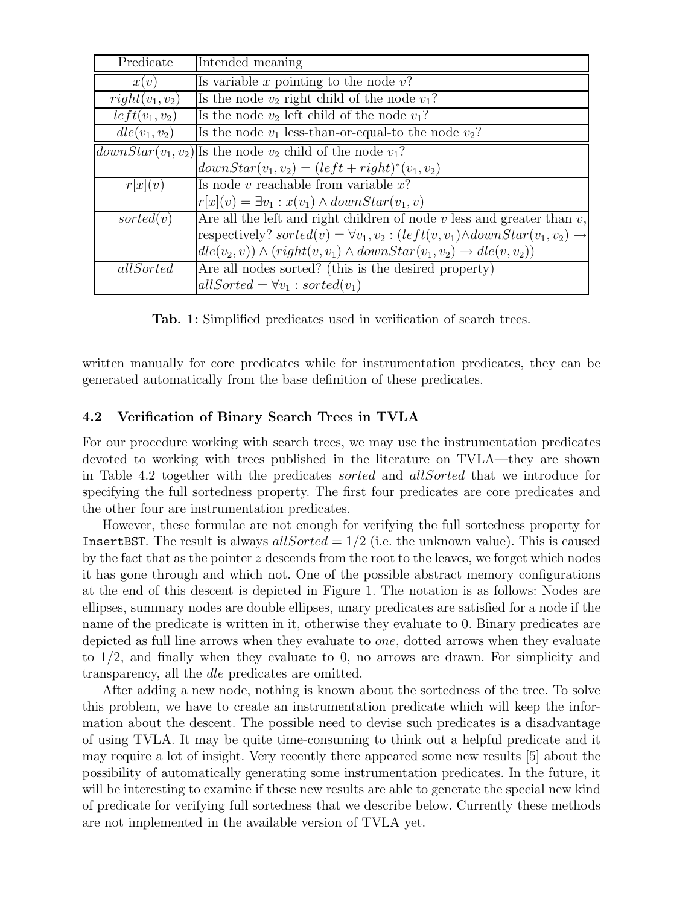| Predicate              | Intended meaning                                                                                  |
|------------------------|---------------------------------------------------------------------------------------------------|
| x(v)                   | Is variable x pointing to the node $v$ ?                                                          |
| $right(v_1, v_2)$      | Is the node $v_2$ right child of the node $v_1$ ?                                                 |
| $left(v_1, v_2\right)$ | Is the node $v_2$ left child of the node $v_1$ ?                                                  |
| $de(v_1, v_2)$         | Is the node $v_1$ less-than-or-equal-to the node $v_2$ ?                                          |
|                        | $downStar(v_1, v_2)$ Is the node $v_2$ child of the node $v_1$ ?                                  |
|                        | $downStar(v_1, v_2) = (left + right)^*(v_1, v_2)$                                                 |
| r x (v)                | Is node v reachable from variable $x$ ?                                                           |
|                        | $r[x](v) = \exists v_1 : x(v_1) \wedge downStar(v_1, v)$                                          |
| sorted(v)              | Are all the left and right children of node $v$ less and greater than $v$ ,                       |
|                        | respectively? $sorted(v) = \forall v_1, v_2 : (left(v, v_1) \land downStar(v_1, v_2) \rightarrow$ |
|                        | $de(v_2, v)) \wedge (right(v, v_1) \wedge downStar(v_1, v_2) \rightarrow de(v, v_2))$             |
| allSorted              | Are all nodes sorted? (this is the desired property)                                              |
|                        | $allSorted = \forall v_1 : sorted(v_1)$                                                           |

**Tab. 1:** Simplified predicates used in verification of search trees.

written manually for core predicates while for instrumentation predicates, they can be generated automatically from the base definition of these predicates.

### **4.2 Verification of Binary Search Trees in TVLA**

For our procedure working with search trees, we may use the instrumentation predicates devoted to working with trees published in the literature on TVLA—they are shown in Table 4.2 together with the predicates *sorted* and *allSorted* that we introduce for specifying the full sortedness property. The first four predicates are core predicates and the other four are instrumentation predicates.

However, these formulae are not enough for verifying the full sortedness property for InsertBST. The result is always *allSorted* = 1*/*2 (i.e. the unknown value). This is caused by the fact that as the pointer *z* descends from the root to the leaves, we forget which nodes it has gone through and which not. One of the possible abstract memory configurations at the end of this descent is depicted in Figure 1. The notation is as follows: Nodes are ellipses, summary nodes are double ellipses, unary predicates are satisfied for a node if the name of the predicate is written in it, otherwise they evaluate to 0. Binary predicates are depicted as full line arrows when they evaluate to *one*, dotted arrows when they evaluate to 1*/*2, and finally when they evaluate to 0, no arrows are drawn. For simplicity and transparency, all the *dle* predicates are omitted.

After adding a new node, nothing is known about the sortedness of the tree. To solve this problem, we have to create an instrumentation predicate which will keep the information about the descent. The possible need to devise such predicates is a disadvantage of using TVLA. It may be quite time-consuming to think out a helpful predicate and it may require a lot of insight. Very recently there appeared some new results [5] about the possibility of automatically generating some instrumentation predicates. In the future, it will be interesting to examine if these new results are able to generate the special new kind of predicate for verifying full sortedness that we describe below. Currently these methods are not implemented in the available version of TVLA yet.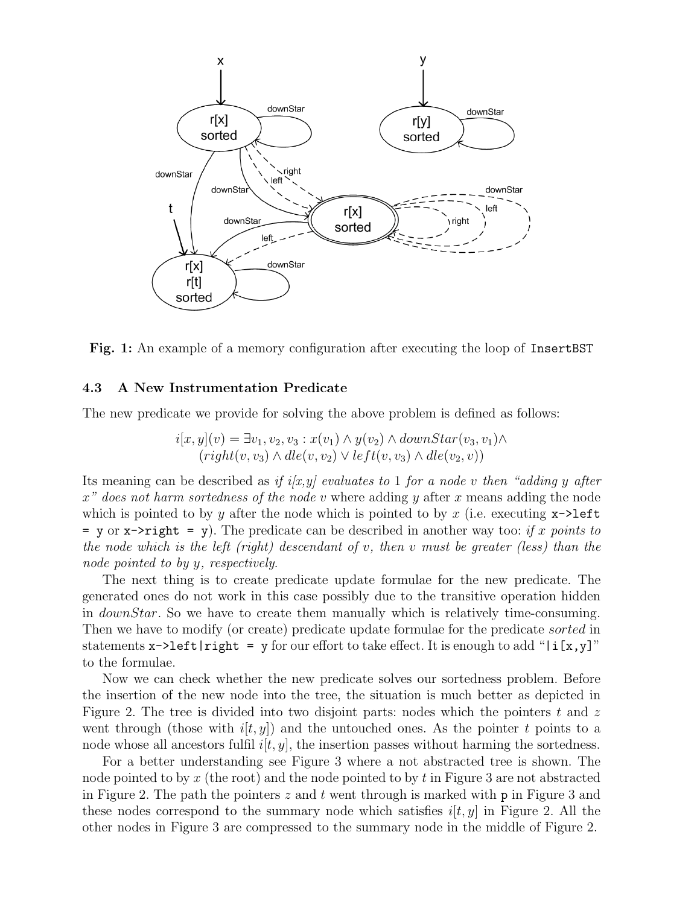

**Fig. 1:** An example of a memory configuration after executing the loop of InsertBST

#### **4.3 A New Instrumentation Predicate**

The new predicate we provide for solving the above problem is defined as follows:

$$
i[x, y](v) = \exists v_1, v_2, v_3 : x(v_1) \land y(v_2) \land downStar(v_3, v_1) \land(right(v, v_3) \land dle(v, v_2) \lor left(v, v_3) \land dle(v_2, v))
$$

Its meaning can be described as *if i[x,y] evaluates to* 1 *for a node v then "adding y after x" does not harm sortedness of the node v* where adding *y* after *x* means adding the node which is pointed to by  $y$  after the node which is pointed to by  $x$  (i.e. executing  $x\rightarrow$  left  $=$  y or  $x$ ->right  $=$  y). The predicate can be described in another way too: *if x* points to *the node which is the left (right) descendant of v, then v must be greater (less) than the node pointed to by y, respectively*.

The next thing is to create predicate update formulae for the new predicate. The generated ones do not work in this case possibly due to the transitive operation hidden in *downStar*. So we have to create them manually which is relatively time-consuming. Then we have to modify (or create) predicate update formulae for the predicate *sorted* in statements  $x$ ->left|right = y for our effort to take effect. It is enough to add "|i[x,y]" to the formulae.

Now we can check whether the new predicate solves our sortedness problem. Before the insertion of the new node into the tree, the situation is much better as depicted in Figure 2. The tree is divided into two disjoint parts: nodes which the pointers *t* and *z* went through (those with  $i[t, y]$ ) and the untouched ones. As the pointer *t* points to a node whose all ancestors fulfil  $i[t, y]$ , the insertion passes without harming the sortedness.

For a better understanding see Figure 3 where a not abstracted tree is shown. The node pointed to by *x* (the root) and the node pointed to by *t* in Figure 3 are not abstracted in Figure 2. The path the pointers *z* and *t* went through is marked with p in Figure 3 and these nodes correspond to the summary node which satisfies  $i[t, y]$  in Figure 2. All the other nodes in Figure 3 are compressed to the summary node in the middle of Figure 2.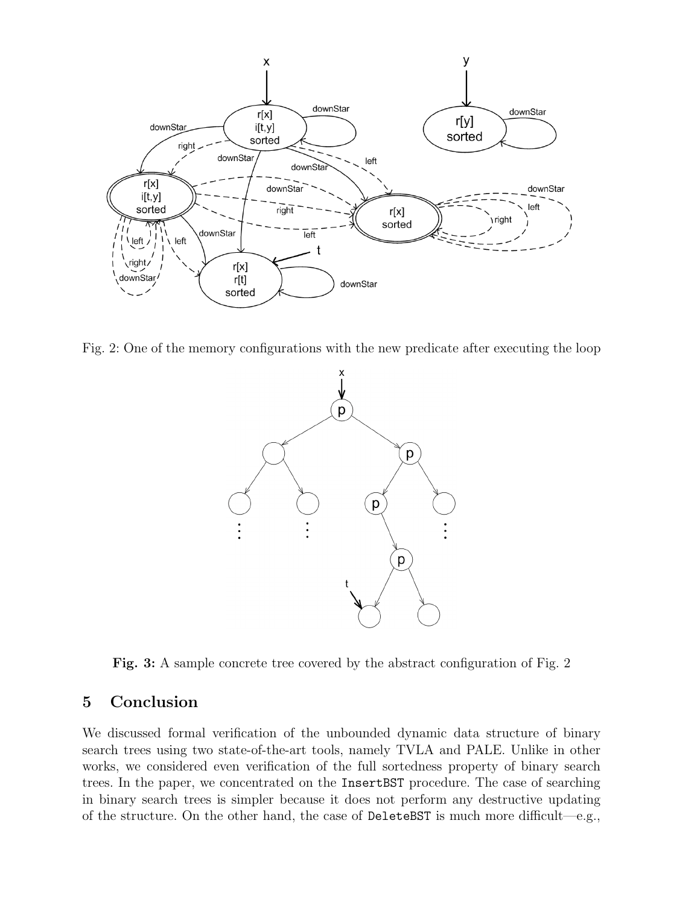

Fig. 2: One of the memory configurations with the new predicate after executing the loop



**Fig. 3:** A sample concrete tree covered by the abstract configuration of Fig. 2

# **5 Conclusion**

We discussed formal verification of the unbounded dynamic data structure of binary search trees using two state-of-the-art tools, namely TVLA and PALE. Unlike in other works, we considered even verification of the full sortedness property of binary search trees. In the paper, we concentrated on the InsertBST procedure. The case of searching in binary search trees is simpler because it does not perform any destructive updating of the structure. On the other hand, the case of DeleteBST is much more difficult—e.g.,